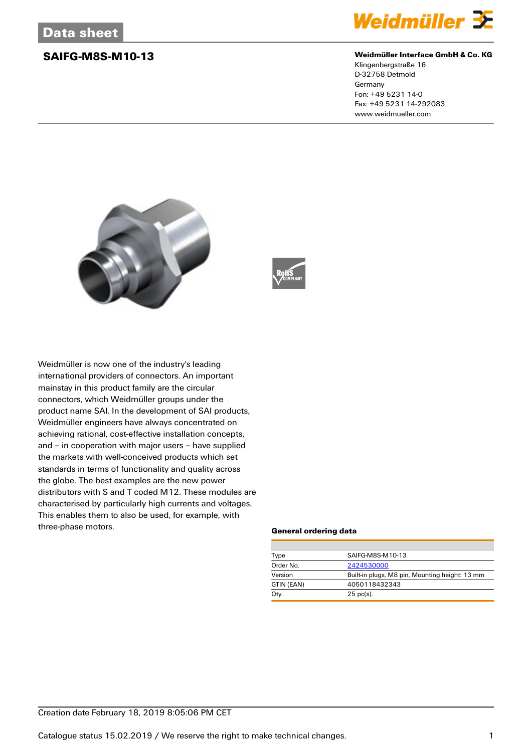

### **SAIFG-M8S-M10-13 Weidmüller Interface GmbH & Co. KG**

Klingenbergstraße 16 D-32758 Detmold Germany Fon: +49 5231 14-0 Fax: +49 5231 14-292083 www.weidmueller.com





Weidmüller is now one of the industry's leading international providers of connectors. An important mainstay in this product family are the circular connectors, which Weidmüller groups under the product name SAI. In the development of SAI products, Weidmüller engineers have always concentrated on achieving rational, cost-effective installation concepts, and – in cooperation with major users – have supplied the markets with well-conceived products which set standards in terms of functionality and quality across the globe. The best examples are the new power distributors with S and T coded M12. These modules are characterised by particularly high currents and voltages. This enables them to also be used, for example, with three-phase motors.

### **General ordering data**

| Type       | SAIFG-M8S-M10-13                               |  |  |
|------------|------------------------------------------------|--|--|
| Order No.  | 2424530000                                     |  |  |
| Version    | Built-in plugs, M8 pin, Mounting height: 13 mm |  |  |
| GTIN (EAN) | 4050118432343                                  |  |  |
| Qty.       | $25$ pc(s).                                    |  |  |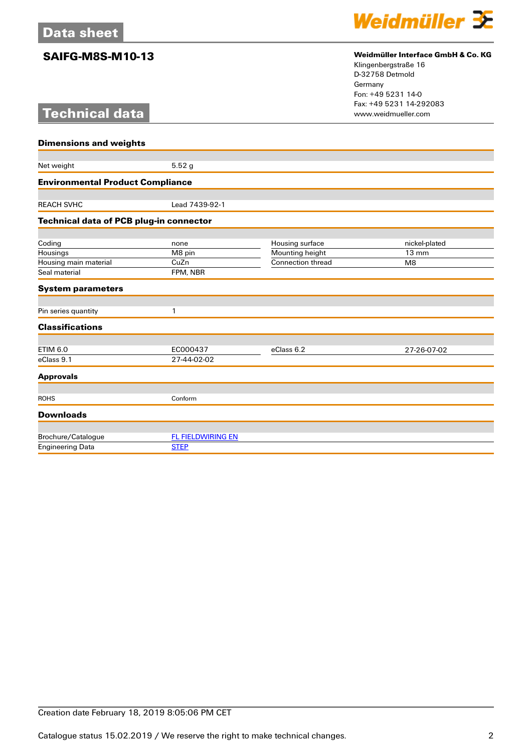# **Technical data**



## **SAIFG-M8S-M10-13 Weidmüller Interface GmbH & Co. KG**

Klingenbergstraße 16 D-32758 Detmold Germany Fon: +49 5231 14-0 Fax: +49 5231 14-292083

| <b>Dimensions and weights</b>           |                          |                          |                 |  |
|-----------------------------------------|--------------------------|--------------------------|-----------------|--|
|                                         |                          |                          |                 |  |
| Net weight                              | 5.52g                    |                          |                 |  |
| <b>Environmental Product Compliance</b> |                          |                          |                 |  |
|                                         |                          |                          |                 |  |
| <b>REACH SVHC</b>                       | Lead 7439-92-1           |                          |                 |  |
| Technical data of PCB plug-in connector |                          |                          |                 |  |
|                                         |                          |                          |                 |  |
| Coding                                  | none                     | Housing surface          | nickel-plated   |  |
| Housings                                | M8 pin                   | Mounting height          | $13 \text{ mm}$ |  |
| Housing main material                   | CuZn                     | <b>Connection thread</b> | M <sub>8</sub>  |  |
| Seal material                           | FPM, NBR                 |                          |                 |  |
| <b>System parameters</b>                |                          |                          |                 |  |
| Pin series quantity                     | 1                        |                          |                 |  |
| <b>Classifications</b>                  |                          |                          |                 |  |
| <b>ETIM 6.0</b>                         | EC000437                 | eClass 6.2               | 27-26-07-02     |  |
| eClass 9.1                              | 27-44-02-02              |                          |                 |  |
|                                         |                          |                          |                 |  |
| <b>Approvals</b>                        |                          |                          |                 |  |
| <b>ROHS</b>                             | Conform                  |                          |                 |  |
| <b>Downloads</b>                        |                          |                          |                 |  |
|                                         |                          |                          |                 |  |
| Brochure/Catalogue                      | <b>FL FIELDWIRING EN</b> |                          |                 |  |
| <b>Engineering Data</b>                 | <b>STEP</b>              |                          |                 |  |